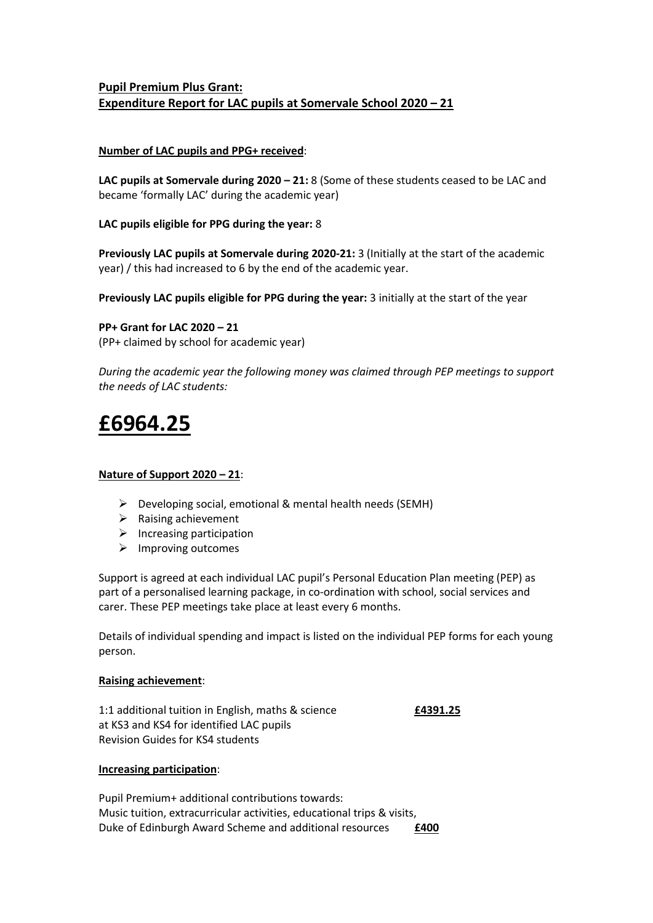# **Pupil Premium Plus Grant: Expenditure Report for LAC pupils at Somervale School 2020 – 21**

# **Number of LAC pupils and PPG+ received**:

**LAC pupils at Somervale during 2020 – 21:** 8 (Some of these students ceased to be LAC and became 'formally LAC' during the academic year)

# **LAC pupils eligible for PPG during the year:** 8

**Previously LAC pupils at Somervale during 2020-21:** 3 (Initially at the start of the academic year) / this had increased to 6 by the end of the academic year.

**Previously LAC pupils eligible for PPG during the year:** 3 initially at the start of the year

**PP+ Grant for LAC 2020 – 21**  (PP+ claimed by school for academic year)

*During the academic year the following money was claimed through PEP meetings to support the needs of LAC students:*

# **£6964.25**

#### **Nature of Support 2020 – 21**:

- $\triangleright$  Developing social, emotional & mental health needs (SEMH)
- $\triangleright$  Raising achievement
- $\triangleright$  Increasing participation
- $\triangleright$  Improving outcomes

Support is agreed at each individual LAC pupil's Personal Education Plan meeting (PEP) as part of a personalised learning package, in co-ordination with school, social services and carer. These PEP meetings take place at least every 6 months.

Details of individual spending and impact is listed on the individual PEP forms for each young person.

#### **Raising achievement**:

1:1 additional tuition in English, maths & science **£4391.25** at KS3 and KS4 for identified LAC pupils Revision Guides for KS4 students

#### **Increasing participation**:

Pupil Premium+ additional contributions towards: Music tuition, extracurricular activities, educational trips & visits, Duke of Edinburgh Award Scheme and additional resources **£400**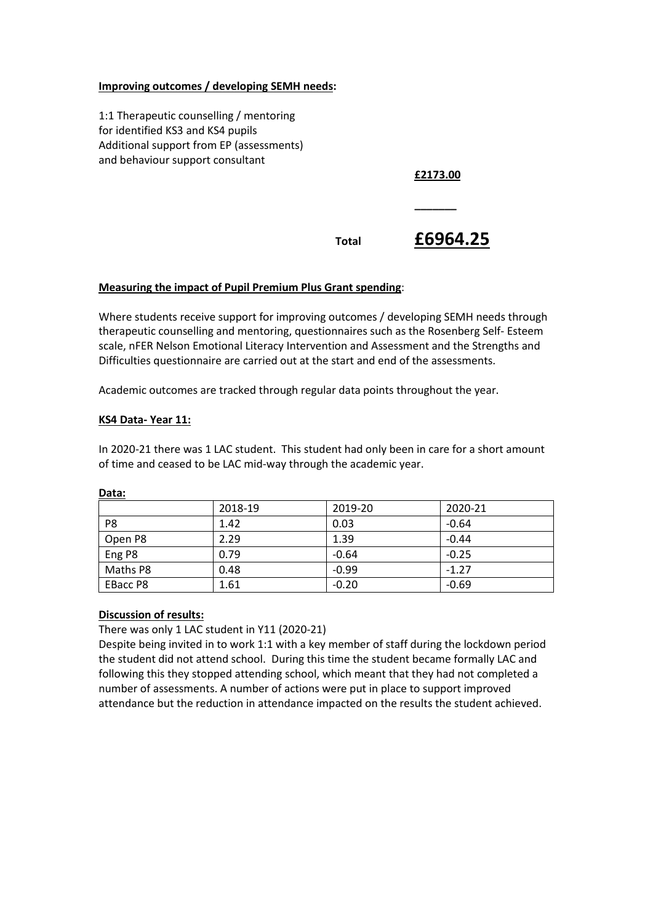## **Improving outcomes / developing SEMH needs:**

1:1 Therapeutic counselling / mentoring for identified KS3 and KS4 pupils Additional support from EP (assessments) and behaviour support consultant

**£2173.00**

**\_\_\_\_\_\_\_**

# **Total £6964.25**

# **Measuring the impact of Pupil Premium Plus Grant spending**:

Where students receive support for improving outcomes / developing SEMH needs through therapeutic counselling and mentoring, questionnaires such as the Rosenberg Self- Esteem scale, nFER Nelson Emotional Literacy Intervention and Assessment and the Strengths and Difficulties questionnaire are carried out at the start and end of the assessments.

Academic outcomes are tracked through regular data points throughout the year.

# **KS4 Data- Year 11:**

In 2020-21 there was 1 LAC student. This student had only been in care for a short amount of time and ceased to be LAC mid-way through the academic year.

|                | 2018-19 | 2019-20 | 2020-21 |
|----------------|---------|---------|---------|
| P <sub>8</sub> | 1.42    | 0.03    | $-0.64$ |
| Open P8        | 2.29    | 1.39    | $-0.44$ |
| Eng P8         | 0.79    | $-0.64$ | $-0.25$ |
| Maths P8       | 0.48    | $-0.99$ | $-1.27$ |
| EBacc P8       | 1.61    | $-0.20$ | $-0.69$ |

# **Data:**

#### **Discussion of results:**

There was only 1 LAC student in Y11 (2020-21)

Despite being invited in to work 1:1 with a key member of staff during the lockdown period the student did not attend school. During this time the student became formally LAC and following this they stopped attending school, which meant that they had not completed a number of assessments. A number of actions were put in place to support improved attendance but the reduction in attendance impacted on the results the student achieved.